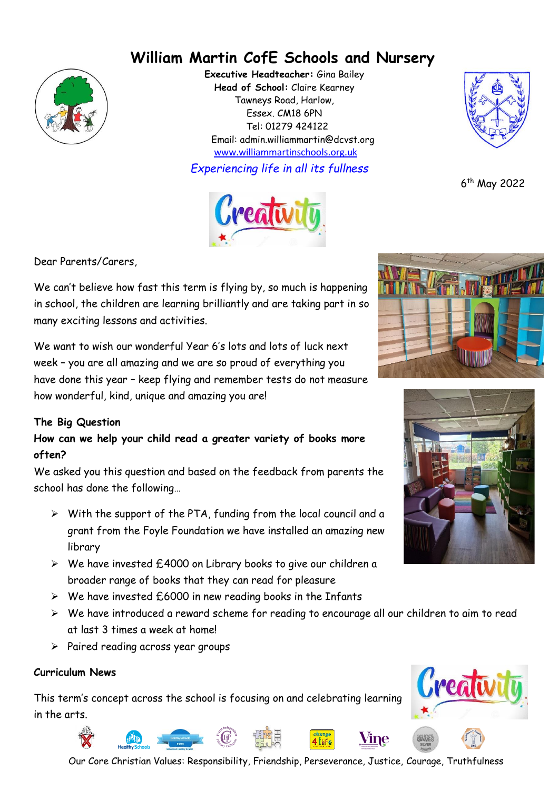# **William Martin CofE Schools and Nursery**



**Executive Headteacher:** Gina Bailey **Head of School:** Claire Kearney Tawneys Road, Harlow, Essex. CM18 6PN Tel: 01279 424122 Email: admin.williammartin@dcvst.org www.williammartinschools.org.uk

*Experiencing life in all its fullness*



6 th May 2022

Dear Parents/Carers,

We can't believe how fast this term is flying by, so much is happening in school, the children are learning brilliantly and are taking part in so many exciting lessons and activities.

We want to wish our wonderful Year 6's lots and lots of luck next week – you are all amazing and we are so proud of everything you have done this year – keep flying and remember tests do not measure how wonderful, kind, unique and amazing you are!

## **The Big Question**

**How can we help your child read a greater variety of books more often?**

We asked you this question and based on the feedback from parents the school has done the following…

- ➢ With the support of the PTA, funding from the local council and a grant from the Foyle Foundation we have installed an amazing new library
- ➢ We have invested £4000 on Library books to give our children a broader range of books that they can read for pleasure
- ➢ We have invested £6000 in new reading books in the Infants
- ➢ We have introduced a reward scheme for reading to encourage all our children to aim to read at last 3 times a week at home!
- ➢ Paired reading across year groups

#### **Curriculum News**

This term's concept across the school is focusing on and celebrating learning in the arts.









Our Core Christian Values: Responsibility, Friendship, Perseverance, Justice, Courage, Truthfulness

Vine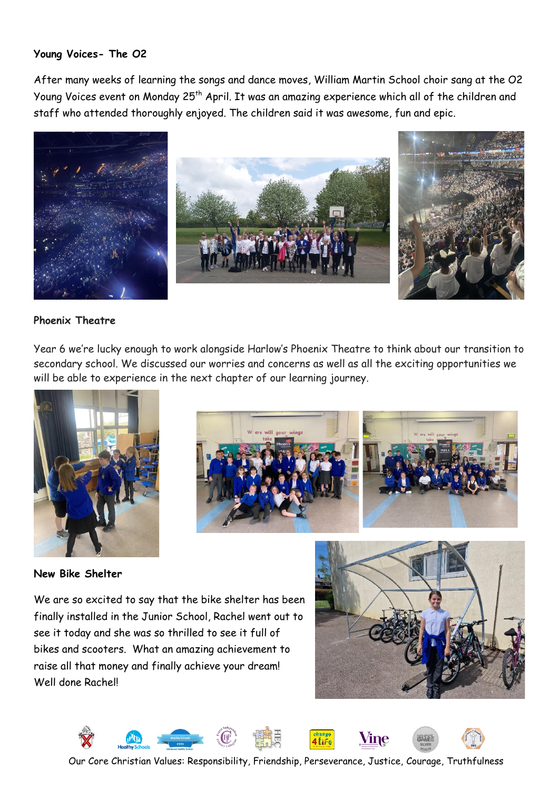#### **Young Voices- The O2**

After many weeks of learning the songs and dance moves, William Martin School choir sang at the O2 Young Voices event on Monday 25<sup>th</sup> April. It was an amazing experience which all of the children and staff who attended thoroughly enjoyed. The children said it was awesome, fun and epic.



#### **Phoenix Theatre**

Year 6 we're lucky enough to work alongside Harlow's Phoenix Theatre to think about our transition to secondary school. We discussed our worries and concerns as well as all the exciting opportunities we will be able to experience in the next chapter of our learning journey.





**New Bike Shelter** 

We are so excited to say that the bike shelter has been finally installed in the Junior School, Rachel went out to see it today and she was so thrilled to see it full of bikes and scooters. What an amazing achievement to raise all that money and finally achieve your dream! Well done Rachel!





Our Core Christian Values: Responsibility, Friendship, Perseverance, Justice, Courage, Truthfulness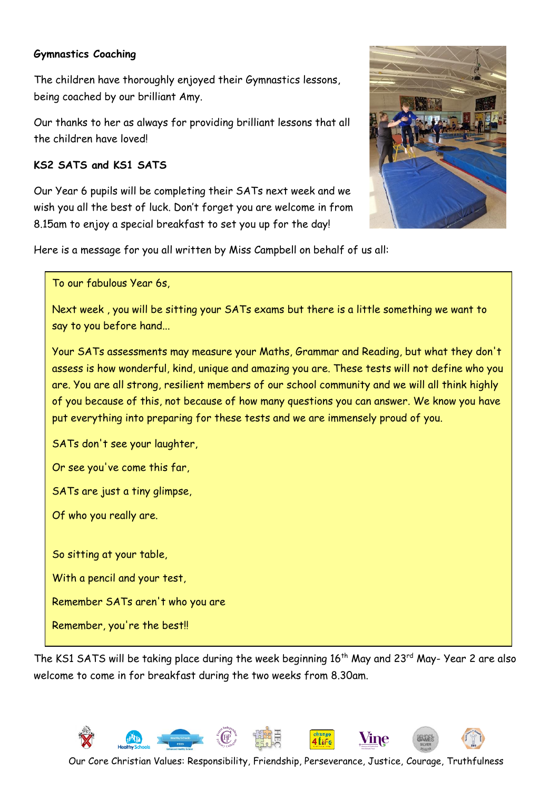#### **Gymnastics Coaching**

The children have thoroughly enjoyed their Gymnastics lessons, being coached by our brilliant Amy.

Our thanks to her as always for providing brilliant lessons that all the children have loved!

### **KS2 SATS and KS1 SATS**

Our Year 6 pupils will be completing their SATs next week and we wish you all the best of luck. Don't forget you are welcome in from 8.15am to enjoy a special breakfast to set you up for the day!



Here is a message for you all written by Miss Campbell on behalf of us all:

To our fabulous Year 6s,

Next week , you will be sitting your SATs exams but there is a little something we want to say to you before hand...

Your SATs assessments may measure your Maths, Grammar and Reading, but what they don't assess is how wonderful, kind, unique and amazing you are. These tests will not define who you are. You are all strong, resilient members of our school community and we will all think highly of you because of this, not because of how many questions you can answer. We know you have put everything into preparing for these tests and we are immensely proud of you.

SATs don't see your laughter,

Or see you've come this far,

SATs are just a tiny glimpse,

Of who you really are.

So sitting at your table,

With a pencil and your test,

Remember SATs aren't who you are

Remember, you're the best!!

The KS1 SATS will be taking place during the week beginning 16<sup>th</sup> May and 23<sup>rd</sup> May- Year 2 are also welcome to come in for breakfast during the two weeks from 8.30am.

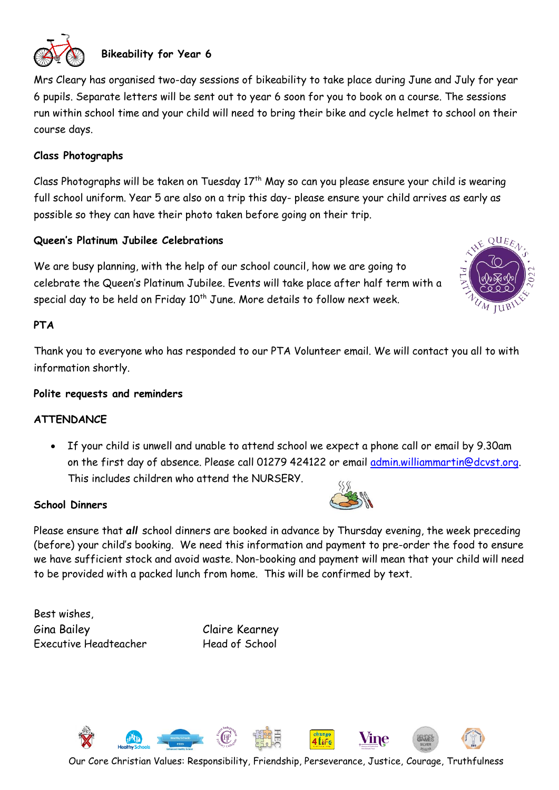

# **Bikeability for Year 6**

Mrs Cleary has organised two-day sessions of bikeability to take place during June and July for year 6 pupils. Separate letters will be sent out to year 6 soon for you to book on a course. The sessions run within school time and your child will need to bring their bike and cycle helmet to school on their course days.

#### **Class Photographs**

Class Photographs will be taken on Tuesday  $17<sup>th</sup>$  May so can you please ensure your child is wearing full school uniform. Year 5 are also on a trip this day- please ensure your child arrives as early as possible so they can have their photo taken before going on their trip.

#### **Queen's Platinum Jubilee Celebrations**

We are busy planning, with the help of our school council, how we are going to celebrate the Queen's Platinum Jubilee. Events will take place after half term with a special day to be held on Friday  $10^{th}$  June. More details to follow next week.

#### **PTA**

Thank you to everyone who has responded to our PTA Volunteer email. We will contact you all to with information shortly.

#### **Polite requests and reminders**

#### **ATTENDANCE**

• If your child is unwell and unable to attend school we expect a phone call or email by 9.30am on the first day of absence. Please call 01279 424122 or email [admin.williammartin@dcvst.org.](mailto:admin.williammartin@dcvst.org) This includes children who attend the NURSERY.

#### **School Dinners**

Please ensure that *all* school dinners are booked in advance by Thursday evening, the week preceding (before) your child's booking. We need this information and payment to pre-order the food to ensure we have sufficient stock and avoid waste. Non-booking and payment will mean that your child will need to be provided with a packed lunch from home. This will be confirmed by text.

Best wishes, Gina Bailey Claire Kearney Executive Headteacher Head of School